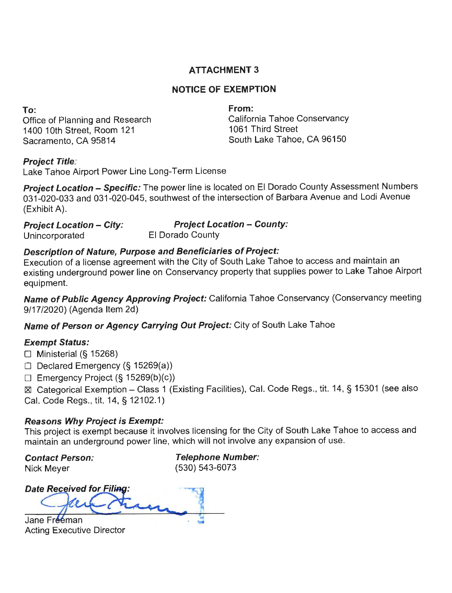# **ATTACHMENT 3**

# **NOTICE OF EXEMPTION**

**To:** 

Office of Planning and Research 1400 10th Street, Room 121 Sacramento, CA 95814

**From:**  California Tahoe Conservancy 1061 Third Street South Lake Tahoe, CA 96150

# **Project Title:**

Lake Tahoe Airport Power Line Long-Term License

**Project Location - Specific:** The power line is located on El Dorado County Assessment Numbers 031-020-033 and 031-020-045, southwest of the intersection of Barbara Avenue and Lodi Avenue (Exhibit A).

**Project Location - City: Project Location - County:**  Unincorporated El Dorado County

#### **Description of Nature, Purpose and Beneficiaries of Project:**

Execution of a license agreement with the City of South Lake Tahoe to access and maintain an existing underground power line on Conservancy property that supplies power to Lake Tahoe Airport equipment.

**Name of Public Agency Approving Project:** California Tahoe Conservancy (Conservancy meeting 9/17/2020) (Agenda Item 2d)

Name of Person or Agency Carrying Out Project: City of South Lake Tahoe

# **Exempt Status:**

 $\Box$  Ministerial (§ 15268)

 $\Box$  Declared Emergency (§ 15269(a))

 $\Box$  Emergency Project (§ 15269(b)(c))

~ Categorical Exemption - Class 1 (Existing Facilities), Cal. Code Regs., tit. 14, § 15301 (see also Cal. Code Regs., tit. 14, § 12102.1)

# **Reasons Why Project is Exempt:**

This project is exempt because it involves licensing for the City of South Lake Tahoe to access and maintain an underground power line, which will not involve any expansion of use.

**Contact Person:**  Nick Meyer

**Telephone Number:**  (530) 543-6073

**Date Received for Filing** 

Jane Freeman **Acting Executive Director**